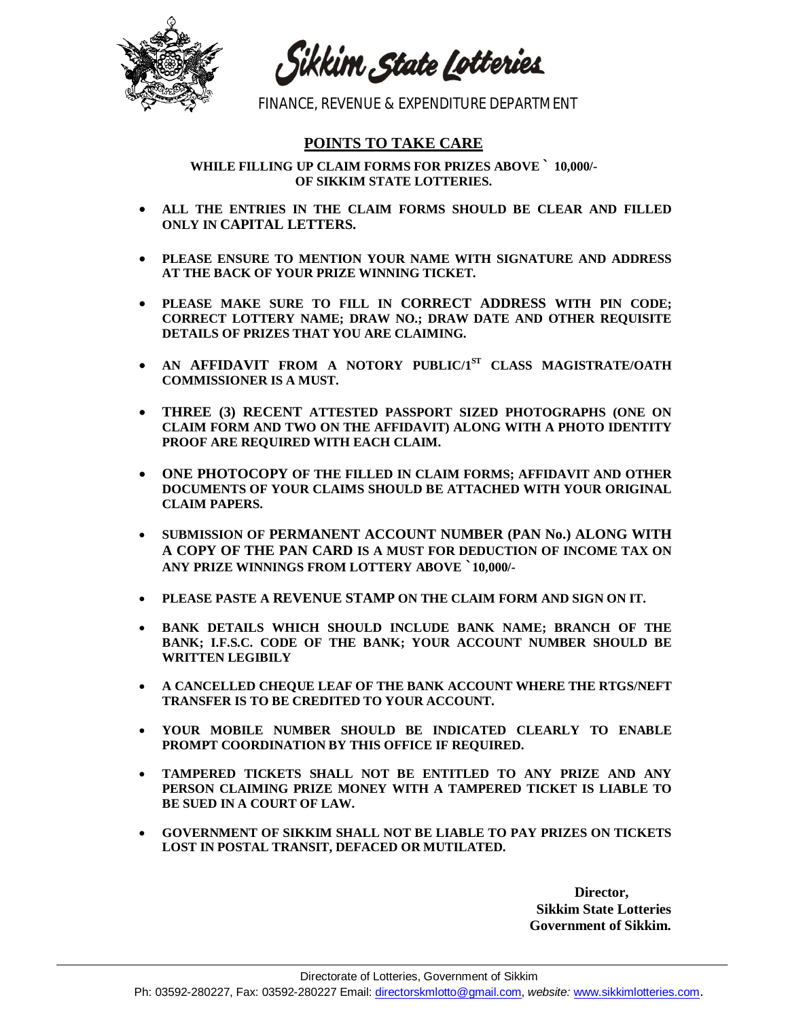

Sikkim State Lotteries

FINANCE, REVENUE & EXPENDITURE DEPARTMENT

## **POINTS TO TAKE CARE**

**WHILE FILLING UP CLAIM FORMS FOR PRIZES ABOVE ` 10,000/- OF SIKKIM STATE LOTTERIES.**

- **ALL THE ENTRIES IN THE CLAIM FORMS SHOULD BE CLEAR AND FILLED ONLY IN CAPITAL LETTERS.**
- **PLEASE ENSURE TO MENTION YOUR NAME WITH SIGNATURE AND ADDRESS AT THE BACK OF YOUR PRIZE WINNING TICKET.**
- **PLEASE MAKE SURE TO FILL IN CORRECT ADDRESS WITH PIN CODE; CORRECT LOTTERY NAME; DRAW NO.; DRAW DATE AND OTHER REQUISITE DETAILS OF PRIZES THAT YOU ARE CLAIMING.**
- **AN AFFIDAVIT FROM A NOTORY PUBLIC/1ST CLASS MAGISTRATE/OATH COMMISSIONER IS A MUST.**
- **THREE (3) RECENT ATTESTED PASSPORT SIZED PHOTOGRAPHS (ONE ON CLAIM FORM AND TWO ON THE AFFIDAVIT) ALONG WITH A PHOTO IDENTITY PROOF ARE REQUIRED WITH EACH CLAIM.**
- **ONE PHOTOCOPY OF THE FILLED IN CLAIM FORMS; AFFIDAVIT AND OTHER DOCUMENTS OF YOUR CLAIMS SHOULD BE ATTACHED WITH YOUR ORIGINAL CLAIM PAPERS.**
- **SUBMISSION OF PERMANENT ACCOUNT NUMBER (PAN No.) ALONG WITH A COPY OF THE PAN CARD IS A MUST FOR DEDUCTION OF INCOME TAX ON ANY PRIZE WINNINGS FROM LOTTERY ABOVE `10,000/-**
- **PLEASE PASTE A REVENUE STAMP ON THE CLAIM FORM AND SIGN ON IT.**
- **BANK DETAILS WHICH SHOULD INCLUDE BANK NAME; BRANCH OF THE BANK; I.F.S.C. CODE OF THE BANK; YOUR ACCOUNT NUMBER SHOULD BE WRITTEN LEGIBILY**
- **A CANCELLED CHEQUE LEAF OF THE BANK ACCOUNT WHERE THE RTGS/NEFT TRANSFER IS TO BE CREDITED TO YOUR ACCOUNT.**
- **YOUR MOBILE NUMBER SHOULD BE INDICATED CLEARLY TO ENABLE PROMPT COORDINATION BY THIS OFFICE IF REQUIRED.**
- **TAMPERED TICKETS SHALL NOT BE ENTITLED TO ANY PRIZE AND ANY PERSON CLAIMING PRIZE MONEY WITH A TAMPERED TICKET IS LIABLE TO BE SUED IN A COURT OF LAW.**
- **GOVERNMENT OF SIKKIM SHALL NOT BE LIABLE TO PAY PRIZES ON TICKETS LOST IN POSTAL TRANSIT, DEFACED OR MUTILATED.**

**Director, Sikkim State Lotteries Government of Sikkim.**